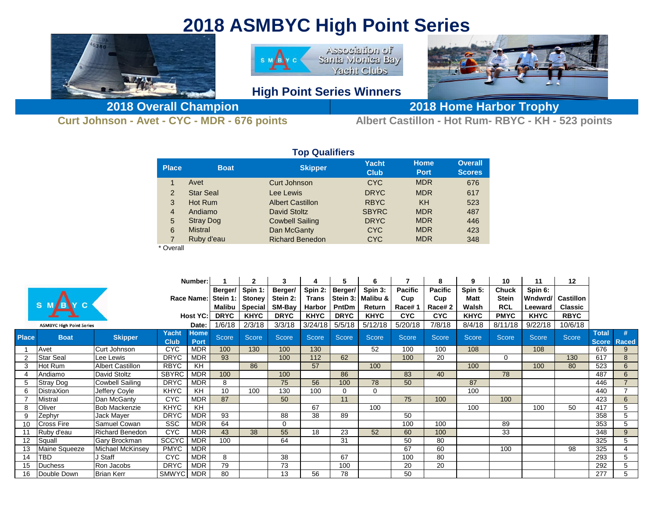## **2018 ASMBYC High Point Series**



**Curt Johnson - Avet - CYC - MDR - 676 points Albert Castillon - Hot Rum- RBYC - KH - 523 points**

| <b>rop Qualifiers</b> |                  |                         |                             |                            |                                 |  |  |  |  |  |  |  |  |
|-----------------------|------------------|-------------------------|-----------------------------|----------------------------|---------------------------------|--|--|--|--|--|--|--|--|
| <b>Place</b>          | <b>Boat</b>      | <b>Skipper</b>          | <b>Yacht</b><br><b>Club</b> | <b>Home</b><br><b>Port</b> | <b>Overall</b><br><b>Scores</b> |  |  |  |  |  |  |  |  |
| 1                     | Avet             | Curt Johnson            | <b>CYC</b>                  | <b>MDR</b>                 | 676                             |  |  |  |  |  |  |  |  |
| $\overline{2}$        | <b>Star Seal</b> | Lee Lewis               | <b>DRYC</b>                 | <b>MDR</b>                 | 617                             |  |  |  |  |  |  |  |  |
| 3                     | Hot Rum          | <b>Albert Castillon</b> | <b>RBYC</b>                 | KH                         | 523                             |  |  |  |  |  |  |  |  |
| $\overline{4}$        | Andiamo          | <b>David Stoltz</b>     | <b>SBYRC</b>                | <b>MDR</b>                 | 487                             |  |  |  |  |  |  |  |  |
| 5                     | <b>Stray Dog</b> | <b>Cowbell Sailing</b>  | <b>DRYC</b>                 | <b>MDR</b>                 | 446                             |  |  |  |  |  |  |  |  |
| 6                     | <b>Mistral</b>   | Dan McGanty             | <b>CYC</b>                  | <b>MDR</b>                 | 423                             |  |  |  |  |  |  |  |  |
| 7                     | Ruby d'eau       | <b>Richard Benedon</b>  | <b>CYC</b>                  | <b>MDR</b>                 | 348                             |  |  |  |  |  |  |  |  |
|                       |                  |                         |                             |                            |                                 |  |  |  |  |  |  |  |  |

## \* Overall

| Number:         |                                 |                         |                             |                            |                     | 3                        |                     | 5                       | 6                   |                     | 8                     | 9                     | 10              | 11                           | $12 \,$      |                          |                              |                   |
|-----------------|---------------------------------|-------------------------|-----------------------------|----------------------------|---------------------|--------------------------|---------------------|-------------------------|---------------------|---------------------|-----------------------|-----------------------|-----------------|------------------------------|--------------|--------------------------|------------------------------|-------------------|
|                 |                                 |                         |                             | <b>Race Name:</b>          | Berger/<br>Stein 1: | Spin 1:<br><b>Stoney</b> | Berger/<br>Stein 2: | Spin 2:<br><b>Trans</b> | Berger/<br>Stein 3: | Spin 3:<br>Malibu & | <b>Pacific</b><br>Cup | <b>Pacific</b><br>Cup | Spin 5:<br>Matt | <b>Chuck</b><br><b>Stein</b> | Spin 6:      | <b>Wndwrd/ Castillon</b> |                              |                   |
|                 |                                 |                         |                             |                            |                     | Malibu   Special         | SM-Bay              | Harbor                  | PntDm               | Return              | Race#1                | Race#2                | Walsh           | <b>RCL</b>                   | Leeward      | <b>Classic</b>           |                              |                   |
|                 |                                 |                         | <b>Host YC:</b>             | <b>DRYC</b>                | <b>KHYC</b>         | <b>DRYC</b>              | <b>KHYC</b>         | <b>DRYC</b>             | <b>KHYC</b>         | <b>CYC</b>          | <b>CYC</b>            | <b>KHYC</b>           | <b>PMYC</b>     | <b>KHYC</b>                  | <b>RBYC</b>  |                          |                              |                   |
|                 | <b>ASMBYC High Point Series</b> |                         |                             | Date:                      | 1/6/18              | 2/3/18                   | 3/3/18              | 3/24/18                 | 5/5/18              | 5/12/18             | 5/20/18               | 7/8/18                | 8/4/18          | 8/11/18                      | 9/22/18      | 10/6/18                  |                              |                   |
| <b>Place</b>    | <b>Boat</b>                     | <b>Skipper</b>          | <b>Yacht</b><br><b>Club</b> | <b>Home</b><br><b>Port</b> | <b>Score</b>        | Score                    | Score               | <b>Score</b>            | Score               | <b>Score</b>        | Score                 | <b>Score</b>          | <b>Score</b>    | <b>Score</b>                 | <b>Score</b> | Score                    | <b>Total</b><br><b>Score</b> | #<br><b>Raced</b> |
|                 | Avet                            | Curt Johnson            | <b>CYC</b>                  | <b>MDR</b>                 | 100                 | 130                      | 100                 | 130                     |                     | 52                  | 100                   | 100                   | 108             |                              | 108          |                          | 676                          | 9                 |
| $\overline{2}$  | <b>Star Seal</b>                | Lee Lewis               | <b>DRYC</b>                 | <b>MDR</b>                 | 93                  |                          | 100                 | 112                     | 62                  |                     | 100                   | 20                    |                 | $\Omega$                     |              | 130                      | 617                          | 8                 |
| 3               | Hot Rum                         | <b>Albert Castillon</b> | <b>RBYC</b>                 | KH.                        |                     | 86                       |                     | 57                      |                     | 100                 |                       |                       | 100             |                              | 100          | 80                       | 523                          | $6\phantom{1}6$   |
|                 | Andiamo                         | David Stoltz            | <b>SBYRC</b>                | <b>MDR</b>                 | 100                 |                          | 100                 |                         | 86                  |                     | 83                    | 40                    |                 | 78                           |              |                          | 487                          | $6\phantom{1}$    |
|                 | <b>Stray Dog</b>                | Cowbell Sailing         | <b>DRYC</b>                 | <b>MDR</b>                 | 8                   |                          | 75                  | 56                      | 100                 | 78                  | 50                    |                       | 87              |                              |              |                          | 446                          | $\overline{7}$    |
| 6.              | DistraXion                      | Jeffery Coyle           | <b>KHYC</b>                 | KH                         | 10                  | 100                      | 130                 | 100                     | $\Omega$            | 0                   |                       |                       | 100             |                              |              |                          | 440                          | $\overline{ }$    |
|                 | <b>Mistral</b>                  | Dan McGanty             | <b>CYC</b>                  | <b>MDR</b>                 | 87                  |                          | 50                  |                         | 11                  |                     | 75                    | 100                   |                 | 100                          |              |                          | 423                          | 6                 |
|                 | Oliver                          | <b>Bob Mackenzie</b>    | <b>KHYC</b>                 | <b>KH</b>                  |                     |                          |                     | 67                      |                     | 100                 |                       |                       | 100             |                              | 100          | 50                       | 417                          | 5                 |
| 9               | Zephyr                          | Jack Mayer              | <b>DRYC</b>                 | <b>MDR</b>                 | 93                  |                          | 88                  | 38                      | 89                  |                     | 50                    |                       |                 |                              |              |                          | 358                          | 5                 |
| 10 <sup>1</sup> | <b>Cross Fire</b>               | Samuel Cowan            | <b>SSC</b>                  | <b>MDR</b>                 | 64                  |                          | $\Omega$            |                         |                     |                     | 100                   | 100                   |                 | 89                           |              |                          | 353                          | 5                 |
|                 | Ruby d'eau                      | <b>Richard Benedon</b>  | <b>CYC</b>                  | <b>MDR</b>                 | 43                  | 38                       | 55                  | 18                      | 23                  | 52                  | 60                    | 100                   |                 | 33                           |              |                          | 348                          | 9                 |
| 12 <sup>°</sup> | Squall                          | <b>Gary Brockman</b>    | <b>SCCYC</b>                | <b>MDR</b>                 | 100                 |                          | 64                  |                         | 31                  |                     | 50                    | 80                    |                 |                              |              |                          | 325                          | 5                 |
| 13 <sup>°</sup> | Maine Squeeze                   | Michael McKinsey        | <b>PMYC</b>                 | <b>MDR</b>                 |                     |                          |                     |                         |                     |                     | 67                    | 60                    |                 | 100                          |              | 98                       | 325                          | 4                 |
| 14              | TBD                             | J Staff                 | <b>CYC</b>                  | <b>MDR</b>                 | 8                   |                          | 38                  |                         | 67                  |                     | 100                   | 80                    |                 |                              |              |                          | 293                          | 5                 |
| 15              | <b>Duchess</b>                  | Ron Jacobs              | <b>DRYC</b>                 | <b>MDR</b>                 | 79                  |                          | 73                  |                         | 100                 |                     | 20                    | 20                    |                 |                              |              |                          | 292                          | 5                 |
| 16              | Double Down                     | <b>Brian Kerr</b>       | <b>SMWYC</b>                | <b>MDR</b>                 | 80                  |                          | 13                  | 56                      | 78                  |                     | 50                    |                       |                 |                              |              |                          | 277                          | 5                 |

## **Top Qualifiers**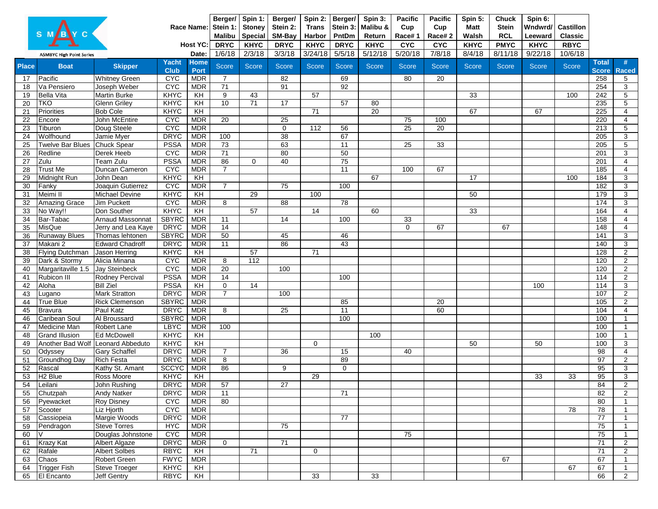|              | <b>ASMBYC High Point Series</b> | Berger/ Spin 1:<br>Stein 1:<br><b>Malibu</b><br><b>DRYC</b><br>1/6/18 | <b>Stoney</b><br><b>Special</b><br><b>KHYC</b><br>2/3/18 | Berger/<br>Stein 2:<br><b>SM-Bay</b><br><b>DRYC</b><br>3/3/18 | Spin 2:<br><b>Trans</b><br>Harbor<br><b>KHYC</b><br>3/24/18 | Berger/<br>PntDm<br><b>DRYC</b><br>5/5/18 | Spin 3:<br>Stein 3: Malibu &<br>Return<br><b>KHYC</b><br>5/12/18 | <b>Pacific</b><br>Cup<br>Race#1<br><b>CYC</b><br>5/20/18 | <b>Pacific</b><br>Cup<br>Race#2<br><b>CYC</b><br>7/8/18 | Spin 5:<br><b>Matt</b><br>Walsh<br><b>KHYC</b><br>8/4/18 | <b>Chuck</b><br><b>Stein</b><br><b>RCL</b><br><b>PMYC</b><br>8/11/18 | Spin 6:<br>Wndwrd/<br>Leeward<br><b>KHYC</b><br>9/22/18 | <b>Castillon</b><br><b>Classic</b><br><b>RBYC</b><br>10/6/18 |              |              |       |                       |                   |
|--------------|---------------------------------|-----------------------------------------------------------------------|----------------------------------------------------------|---------------------------------------------------------------|-------------------------------------------------------------|-------------------------------------------|------------------------------------------------------------------|----------------------------------------------------------|---------------------------------------------------------|----------------------------------------------------------|----------------------------------------------------------------------|---------------------------------------------------------|--------------------------------------------------------------|--------------|--------------|-------|-----------------------|-------------------|
| <b>Place</b> | <b>Boat</b>                     | <b>Skipper</b>                                                        | Yacht                                                    | Date:<br><b>Home</b>                                          | <b>Score</b>                                                | <b>Score</b>                              | <b>Score</b>                                                     | <b>Score</b>                                             | <b>Score</b>                                            | <b>Score</b>                                             | <b>Score</b>                                                         | <b>Score</b>                                            | <b>Score</b>                                                 | <b>Score</b> | <b>Score</b> | Score | <b>Total</b>          |                   |
| 17           | Pacific                         | <b>Whitney Green</b>                                                  | <b>Club</b><br><b>CYC</b>                                | <b>Port</b><br><b>MDR</b>                                     |                                                             |                                           | 82                                                               |                                                          | 69                                                      |                                                          | 80                                                                   | 20                                                      |                                                              |              |              |       | <b>Score</b><br>258   | <b>Raced</b><br>5 |
| 18           | Va Pensiero                     | Joseph Weber                                                          | <b>CYC</b>                                               | <b>MDR</b>                                                    | $\overline{71}$                                             |                                           | 91                                                               |                                                          | $\overline{92}$                                         |                                                          |                                                                      |                                                         |                                                              |              |              |       | 254                   | 3                 |
| 19           | <b>Bella Vita</b>               | <b>Martin Burke</b>                                                   | <b>KHYC</b>                                              | KH                                                            | 9                                                           | 43                                        |                                                                  | 57                                                       |                                                         |                                                          |                                                                      |                                                         | 33                                                           |              |              | 100   | 242                   | 5                 |
| 20           | <b>TKO</b>                      | <b>Glenn Griley</b>                                                   | <b>KHYC</b>                                              | KH                                                            | 10                                                          | 71                                        | $\overline{17}$                                                  |                                                          | $\overline{57}$                                         | 80                                                       |                                                                      |                                                         |                                                              |              |              |       | 235                   | 5                 |
| 21           | <b>Priorities</b>               | <b>Bob Cole</b>                                                       | <b>KHYC</b>                                              | $\overline{KH}$                                               |                                                             |                                           |                                                                  | $\overline{71}$                                          |                                                         | 20                                                       |                                                                      |                                                         | 67                                                           |              | 67           |       | 225                   | 4                 |
| 22           | Encore                          | John McEntire                                                         | <b>CYC</b>                                               | <b>MDR</b>                                                    | 20                                                          |                                           | $\overline{25}$                                                  |                                                          |                                                         |                                                          | 75                                                                   | 100                                                     |                                                              |              |              |       | 220                   | 4                 |
| 23           | Tiburon                         | Doug Steele                                                           | <b>CYC</b>                                               | <b>MDR</b>                                                    |                                                             |                                           | $\mathbf 0$                                                      | $\overline{112}$                                         | 56                                                      |                                                          | $\overline{25}$                                                      | 20                                                      |                                                              |              |              |       | 213                   | 5                 |
| 24           | Wolfhound                       | Jamie Myer                                                            | <b>DRYC</b>                                              | <b>MDR</b>                                                    | 100                                                         |                                           | 38                                                               |                                                          | 67                                                      |                                                          |                                                                      |                                                         |                                                              |              |              |       | 205                   | 3                 |
| 25           | <b>Twelve Bar Blues</b>         | <b>Chuck Spear</b>                                                    | <b>PSSA</b>                                              | <b>MDR</b>                                                    | $\overline{73}$                                             |                                           | 63                                                               |                                                          | 11                                                      |                                                          | 25                                                                   | $\overline{33}$                                         |                                                              |              |              |       | $\overline{205}$      | 5                 |
| 26           | Redline                         | Derek Heeb                                                            | <b>CYC</b>                                               | <b>MDR</b>                                                    | 71                                                          |                                           | $\overline{80}$                                                  |                                                          | 50                                                      |                                                          |                                                                      |                                                         |                                                              |              |              |       | 201                   | 3                 |
| 27           | Zulu                            | Team Zulu                                                             | <b>PSSA</b>                                              | <b>MDR</b>                                                    | 86                                                          | 0                                         | 40                                                               |                                                          | 75                                                      |                                                          |                                                                      |                                                         |                                                              |              |              |       | 201                   | $\overline{4}$    |
| 28           | Trust Me                        | Duncan Cameron                                                        | <b>CYC</b>                                               | <b>MDR</b>                                                    | $\overline{7}$                                              |                                           |                                                                  |                                                          | 11                                                      |                                                          | 100                                                                  | 67                                                      |                                                              |              |              |       | 185                   | 4                 |
| 29           | Midnight Run                    | John Dean                                                             | <b>KHYC</b>                                              | $\overline{KH}$                                               |                                                             |                                           |                                                                  |                                                          |                                                         | 67                                                       |                                                                      |                                                         | 17                                                           |              |              | 100   | 184                   | 3                 |
| 30           | Fanky                           | Joaquin Gutierrez                                                     | <b>CYC</b>                                               | <b>MDR</b>                                                    | $\overline{7}$                                              |                                           | $\overline{75}$                                                  |                                                          | 100                                                     |                                                          |                                                                      |                                                         |                                                              |              |              |       | 182                   | 3                 |
| 31           | Meimi II                        | <b>Michael Devine</b>                                                 | KHYC                                                     | KH                                                            |                                                             | 29                                        |                                                                  | 100                                                      |                                                         |                                                          |                                                                      |                                                         | 50                                                           |              |              |       | 179                   | 3                 |
| 32           | Amazing Grace                   | <b>Jim Puckett</b>                                                    | <b>CYC</b>                                               | <b>MDR</b>                                                    | 8                                                           |                                           | $\overline{88}$                                                  |                                                          | 78                                                      |                                                          |                                                                      |                                                         |                                                              |              |              |       | 174                   | 3                 |
| 33           | No Way!!                        | Don Souther                                                           | KHYC                                                     | $\overline{KH}$                                               |                                                             | 57                                        |                                                                  | $\overline{14}$                                          |                                                         | 60                                                       |                                                                      |                                                         | 33                                                           |              |              |       | 164                   | 4                 |
| 34           | Bar-Tabac                       | <b>Arnaud Massonnat</b>                                               | <b>SBYRC</b>                                             | <b>MDR</b>                                                    | 11                                                          |                                           | $\overline{14}$                                                  |                                                          | 100                                                     |                                                          | 33                                                                   |                                                         |                                                              |              |              |       | 158                   | 4                 |
| 35           | MisQue                          | Jerry and Lea Kaye                                                    | <b>DRYC</b>                                              | <b>MDR</b>                                                    | 14                                                          |                                           |                                                                  |                                                          |                                                         |                                                          | $\Omega$                                                             | 67                                                      |                                                              | 67           |              |       | 148                   | 4                 |
| 36           | <b>Runaway Blues</b>            | Thomas lehtonen                                                       | <b>SBYRC</b>                                             | <b>MDR</b>                                                    | 50                                                          |                                           | 45                                                               |                                                          | 46                                                      |                                                          |                                                                      |                                                         |                                                              |              |              |       | 141                   | 3                 |
| 37           | Makani 2                        | <b>Edward Chadroff</b>                                                | <b>DRYC</b>                                              | <b>MDR</b>                                                    | 11                                                          |                                           | 86                                                               |                                                          | 43                                                      |                                                          |                                                                      |                                                         |                                                              |              |              |       | 140                   | 3                 |
| 38           | <b>Flying Dutchman</b>          | Jason Herring                                                         | <b>KHYC</b>                                              | KH                                                            |                                                             | $\overline{57}$                           |                                                                  | 71                                                       |                                                         |                                                          |                                                                      |                                                         |                                                              |              |              |       | 128                   | $\overline{2}$    |
| 39           | Dark & Stormy                   | Alicia Minana                                                         | <b>CYC</b>                                               | <b>MDR</b>                                                    | 8                                                           | 112                                       |                                                                  |                                                          |                                                         |                                                          |                                                                      |                                                         |                                                              |              |              |       | 120                   | $\overline{2}$    |
| 40           | Margaritaville 1.5              | <b>Jay Steinbeck</b>                                                  | <b>CYC</b>                                               | <b>MDR</b>                                                    | 20                                                          |                                           | 100                                                              |                                                          |                                                         |                                                          |                                                                      |                                                         |                                                              |              |              |       | 120                   | $\overline{2}$    |
| 41           | Rubicon III                     | <b>Rodney Percival</b>                                                | <b>PSSA</b>                                              | <b>MDR</b>                                                    | 14                                                          |                                           |                                                                  |                                                          | 100                                                     |                                                          |                                                                      |                                                         |                                                              |              |              |       | 114                   | $\overline{2}$    |
| 42           | Aloha                           | <b>Bill Ziel</b>                                                      | <b>PSSA</b>                                              | KH                                                            | $\mathbf 0$                                                 | 14                                        |                                                                  |                                                          |                                                         |                                                          |                                                                      |                                                         |                                                              |              | 100          |       | 114                   | 3                 |
| 43           | Lugano                          | <b>Mark Stratton</b>                                                  | <b>DRYC</b>                                              | <b>MDR</b>                                                    | $\overline{7}$                                              |                                           | 100                                                              |                                                          |                                                         |                                                          |                                                                      |                                                         |                                                              |              |              |       | 107                   | $\overline{2}$    |
| 44           | <b>True Blue</b>                | <b>Rick Clemenson</b>                                                 | <b>SBYRC</b>                                             | <b>MDR</b>                                                    |                                                             |                                           |                                                                  |                                                          | 85                                                      |                                                          |                                                                      | 20                                                      |                                                              |              |              |       | 105                   | $\overline{2}$    |
| 45           | Bravura                         | Paul Katz                                                             | DRYC MDR                                                 |                                                               | 8                                                           |                                           | 25                                                               |                                                          | 11                                                      |                                                          |                                                                      | 60                                                      |                                                              |              |              |       | $\frac{104}{ }$       | $\overline{4}$    |
| 46           | Caribean Soul                   | Al Broussard                                                          | SBYRC MDR                                                |                                                               |                                                             |                                           |                                                                  |                                                          | 100                                                     |                                                          |                                                                      |                                                         |                                                              |              |              |       | 100                   |                   |
| 47           | <b>Medicine Man</b>             | Robert Lane                                                           | <b>LBYC</b>                                              | <b>MDR</b>                                                    | 100                                                         |                                           |                                                                  |                                                          |                                                         |                                                          |                                                                      |                                                         |                                                              |              |              |       | 100                   |                   |
| 48           | <b>Grand Illusion</b>           | <b>Ed McDowell</b>                                                    | <b>KHYC</b>                                              | KH                                                            |                                                             |                                           |                                                                  |                                                          |                                                         | 100                                                      |                                                                      |                                                         |                                                              |              |              |       | 100                   |                   |
| 49           |                                 | Another Bad Wolf Leonard Abbeduto                                     | <b>KHYC</b>                                              | $\overline{KH}$                                               |                                                             |                                           |                                                                  | $\Omega$                                                 |                                                         |                                                          |                                                                      |                                                         | 50                                                           |              | 50           |       | 100                   | 3                 |
|              | 50 Odyssey                      | <b>Gary Schaffel</b>                                                  | <b>DRYC</b>                                              | <b>MDR</b>                                                    | $\overline{7}$                                              |                                           | 36                                                               |                                                          | 15                                                      |                                                          | 40                                                                   |                                                         |                                                              |              |              |       | 98                    | 4                 |
|              | 51 Groundhog Day                | <b>Rich Festa</b>                                                     | <b>DRYC</b>                                              | <b>MDR</b>                                                    | 8                                                           |                                           |                                                                  |                                                          | 89                                                      |                                                          |                                                                      |                                                         |                                                              |              |              |       | 97                    | $\overline{2}$    |
|              | 52 Rascal                       | Kathy St. Amant                                                       | <b>SCCYC</b>                                             | <b>MDR</b>                                                    | 86                                                          |                                           | 9                                                                |                                                          | 0                                                       |                                                          |                                                                      |                                                         |                                                              |              |              |       | 95                    | 3                 |
| 53           | H <sub>2</sub> Blue             | Ross Moore                                                            | <b>KHYC</b>                                              | KH                                                            |                                                             |                                           |                                                                  | 29                                                       |                                                         |                                                          |                                                                      |                                                         |                                                              |              | 33           | 33    | 95                    | 3                 |
| 54           | Leilani                         | John Rushing                                                          | <b>DRYC</b>                                              | <b>MDR</b>                                                    | 57                                                          |                                           | 27                                                               |                                                          |                                                         |                                                          |                                                                      |                                                         |                                                              |              |              |       | 84                    | $\overline{2}$    |
| 55           | Chutzpah                        | <b>Andy Natker</b>                                                    | <b>DRYC</b>                                              | <b>MDR</b>                                                    | $\overline{11}$                                             |                                           |                                                                  |                                                          | 71                                                      |                                                          |                                                                      |                                                         |                                                              |              |              |       | 82                    | $\overline{2}$    |
| 56           | Pyewacket                       | <b>Roy Disney</b>                                                     | <b>CYC</b>                                               | <b>MDR</b>                                                    | 80                                                          |                                           |                                                                  |                                                          |                                                         |                                                          |                                                                      |                                                         |                                                              |              |              |       | 80                    |                   |
| 57           | Scooter                         | Liz Hjorth                                                            | <b>CYC</b>                                               | MDR                                                           |                                                             |                                           |                                                                  |                                                          |                                                         |                                                          |                                                                      |                                                         |                                                              |              |              | 78    | 78                    |                   |
| 58           | Cassiopeia                      | Margie Woods                                                          | <b>DRYC</b>                                              | <b>MDR</b>                                                    |                                                             |                                           |                                                                  |                                                          | 77                                                      |                                                          |                                                                      |                                                         |                                                              |              |              |       | $\overline{77}$       |                   |
| 59           | Pendragon                       | <b>Steve Torres</b>                                                   | <b>HYC</b>                                               | <b>MDR</b>                                                    |                                                             |                                           | 75                                                               |                                                          |                                                         |                                                          |                                                                      |                                                         |                                                              |              |              |       | 75                    |                   |
| 60           | V                               | Douglas Johnstone                                                     | <b>C<sub>XC</sub></b>                                    | <b>MDR</b>                                                    |                                                             |                                           |                                                                  |                                                          |                                                         |                                                          | 75                                                                   |                                                         |                                                              |              |              |       | 75                    |                   |
|              | 61 Krazy Kat                    | Albert Algaze                                                         | <b>DRYC</b>                                              | <b>MDR</b>                                                    | $\overline{0}$                                              | $\overline{71}$                           | $\overline{71}$                                                  |                                                          |                                                         |                                                          |                                                                      |                                                         |                                                              |              |              |       | 71<br>$\overline{71}$ | $\overline{2}$    |
| 62           | Rafale                          | <b>Albert Solbes</b>                                                  | <b>RBYC</b><br><b>FWYC</b>                               | $\overline{KH}$<br><b>MDR</b>                                 |                                                             |                                           |                                                                  | $\overline{0}$                                           |                                                         |                                                          |                                                                      |                                                         |                                                              | 67           |              |       | 67                    | $\overline{2}$    |
| 63           | Chaos<br>64 Trigger Fish        | Robert Green<br><b>Steve Troeger</b>                                  | <b>KHYC</b>                                              | $\overline{KH}$                                               |                                                             |                                           |                                                                  |                                                          |                                                         |                                                          |                                                                      |                                                         |                                                              |              |              | 67    | 67                    |                   |
|              | 65   El Encanto                 | Jeff Gentry                                                           | <b>RBYC</b>                                              | KH                                                            |                                                             |                                           |                                                                  | 33                                                       |                                                         | 33                                                       |                                                                      |                                                         |                                                              |              |              |       | 66                    | $\overline{2}$    |
|              |                                 |                                                                       |                                                          |                                                               |                                                             |                                           |                                                                  |                                                          |                                                         |                                                          |                                                                      |                                                         |                                                              |              |              |       |                       |                   |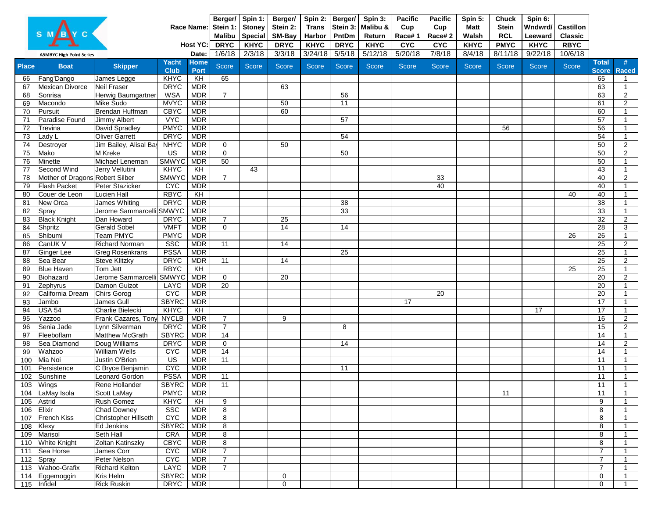|              |                                                        | Berger/ Spin 1:<br>Stein 1:<br><b>Malibu</b><br><b>DRYC</b> | <b>Stoney</b><br><b>Special</b><br><b>KHYC</b> | Berger/<br>Stein 2:<br>SM-Bay<br><b>DRYC</b> | Spin 2:<br><b>Trans</b><br>Harbor<br><b>KHYC</b> | Berger/<br>PntDm<br><b>DRYC</b> | Spin 3:<br>Stein 3: Malibu &<br>Return<br><b>KHYC</b> | <b>Pacific</b><br>Cup<br>Race#1<br><b>CYC</b> | <b>Pacific</b><br>Cup<br>Race#2<br><b>CYC</b> | Spin 5:<br><b>Matt</b><br>Walsh<br><b>KHYC</b> | <b>Chuck</b><br><b>Stein</b><br><b>RCL</b><br><b>PMYC</b> | Spin 6:<br>Wndwrd/<br>Leeward<br><b>KHYC</b> | <b>Castillon</b><br><b>Classic</b><br><b>RBYC</b> |              |         |              |                              |                                  |
|--------------|--------------------------------------------------------|-------------------------------------------------------------|------------------------------------------------|----------------------------------------------|--------------------------------------------------|---------------------------------|-------------------------------------------------------|-----------------------------------------------|-----------------------------------------------|------------------------------------------------|-----------------------------------------------------------|----------------------------------------------|---------------------------------------------------|--------------|---------|--------------|------------------------------|----------------------------------|
|              | <b>ASMBYC High Point Series</b>                        |                                                             |                                                | Date:                                        | 1/6/18                                           | 2/3/18                          | 3/3/18                                                | 3/24/18                                       | 5/5/18                                        | 5/12/18                                        | 5/20/18                                                   | 7/8/18                                       | 8/4/18                                            | 8/11/18      | 9/22/18 | 10/6/18      |                              |                                  |
| <b>Place</b> | <b>Boat</b>                                            | <b>Skipper</b>                                              | <b>Yacht</b><br><b>Club</b>                    | <b>Home</b><br><b>Port</b>                   | <b>Score</b>                                     | <b>Score</b>                    | Score                                                 | Score                                         | <b>Score</b>                                  | <b>Score</b>                                   | <b>Score</b>                                              | <b>Score</b>                                 | <b>Score</b>                                      | <b>Score</b> | Score   | <b>Score</b> | <b>Total</b><br><b>Score</b> | <b>Raced</b>                     |
| 66           | Fang'Dango                                             | James Legge                                                 | <b>KHYC</b>                                    | KH                                           | 65                                               |                                 |                                                       |                                               |                                               |                                                |                                                           |                                              |                                                   |              |         |              | 65                           |                                  |
| 67           | <b>Mexican Divorce</b>                                 | Neil Fraser                                                 | <b>DRYC</b>                                    | <b>MDR</b>                                   |                                                  |                                 | 63                                                    |                                               |                                               |                                                |                                                           |                                              |                                                   |              |         |              | 63                           |                                  |
| 68           | Sonrisa                                                | Herwig Baumgartner                                          | <b>WSA</b>                                     | <b>MDR</b>                                   | $\overline{7}$                                   |                                 |                                                       |                                               | 56                                            |                                                |                                                           |                                              |                                                   |              |         |              | 63                           | $\overline{2}$                   |
| 69           | Macondo                                                | Mike Sudo                                                   | <b>MVYC</b>                                    | <b>MDR</b>                                   |                                                  |                                 | 50                                                    |                                               | 11                                            |                                                |                                                           |                                              |                                                   |              |         |              | 61                           | $\overline{2}$                   |
| 70           | Pursuit                                                | Brendan Huffman                                             | <b>CBYC</b>                                    | <b>MDR</b>                                   |                                                  |                                 | 60                                                    |                                               |                                               |                                                |                                                           |                                              |                                                   |              |         |              | 60                           |                                  |
| 71           | Paradise Found                                         | <b>Jimmy Albert</b>                                         | <b>VYC</b>                                     | <b>MDR</b>                                   |                                                  |                                 |                                                       |                                               | 57                                            |                                                |                                                           |                                              |                                                   |              |         |              | 57                           |                                  |
| 72           | Trevina                                                | David Spradley                                              | <b>PMYC</b>                                    | <b>MDR</b>                                   |                                                  |                                 |                                                       |                                               |                                               |                                                |                                                           |                                              |                                                   | 56           |         |              | 56                           |                                  |
| 73           | Lady L                                                 | <b>Oliver Garrett</b>                                       | <b>DRYC</b>                                    | <b>MDR</b>                                   |                                                  |                                 |                                                       |                                               | 54                                            |                                                |                                                           |                                              |                                                   |              |         |              | 54                           |                                  |
| 74           | Destroyer                                              | Jim Bailey, Alisal Bay                                      | <b>NHYC</b>                                    | <b>MDR</b>                                   | $\mathbf 0$                                      |                                 | 50                                                    |                                               |                                               |                                                |                                                           |                                              |                                                   |              |         |              | 50                           | 2                                |
| 75           | Mako                                                   | M Kreke                                                     | <b>US</b>                                      | <b>MDR</b>                                   | $\overline{0}$                                   |                                 |                                                       |                                               | 50                                            |                                                |                                                           |                                              |                                                   |              |         |              | 50                           | $\overline{2}$                   |
| 76           | Minette                                                | Michael Leneman                                             | <b>SMWYC</b>                                   | <b>MDR</b>                                   | 50                                               |                                 |                                                       |                                               |                                               |                                                |                                                           |                                              |                                                   |              |         |              | 50                           |                                  |
| 77           | Second Wind                                            | Jerry Vellutini                                             | <b>KHYC</b>                                    | KH                                           |                                                  | 43                              |                                                       |                                               |                                               |                                                |                                                           |                                              |                                                   |              |         |              | 43                           | $\overline{\mathbf{1}}$          |
| 78           | Mother of Dragons Robert Silber<br><b>Flash Packet</b> |                                                             | <b>SMWYC</b>                                   | <b>MDR</b>                                   | $\overline{7}$                                   |                                 |                                                       |                                               |                                               |                                                |                                                           | 33                                           |                                                   |              |         |              | 40                           | $\overline{2}$<br>$\overline{1}$ |
| 79           | Couer de Leon                                          | Peter Stazicker<br>Lucien Hall                              | <b>CYC</b><br><b>RBYC</b>                      | <b>MDR</b><br>$\overline{KH}$                |                                                  |                                 |                                                       |                                               |                                               |                                                |                                                           | 40                                           |                                                   |              |         | 40           | 40<br>40                     |                                  |
| 80<br>81     | New Orca                                               | <b>James Whiting</b>                                        | <b>DRYC</b>                                    | <b>MDR</b>                                   |                                                  |                                 |                                                       |                                               | 38                                            |                                                |                                                           |                                              |                                                   |              |         |              | 38                           |                                  |
| 82           | Spray                                                  | Jerome Sammarcelli SMWYC                                    |                                                | <b>MDR</b>                                   |                                                  |                                 |                                                       |                                               | 33                                            |                                                |                                                           |                                              |                                                   |              |         |              | 33                           |                                  |
| 83           | <b>Black Knight</b>                                    | Dan Howard                                                  | <b>DRYC</b>                                    | <b>MDR</b>                                   | $\overline{7}$                                   |                                 | $\overline{25}$                                       |                                               |                                               |                                                |                                                           |                                              |                                                   |              |         |              | $\overline{32}$              | $\overline{2}$                   |
| 84           | Shpritz                                                | <b>Gerald Sobel</b>                                         | <b>VMFT</b>                                    | <b>MDR</b>                                   | $\overline{0}$                                   |                                 | $\overline{14}$                                       |                                               | 14                                            |                                                |                                                           |                                              |                                                   |              |         |              | 28                           | $\mathbf{3}$                     |
| 85           | Shibumi                                                | <b>Team PMYC</b>                                            | <b>PMYC</b>                                    | <b>MDR</b>                                   |                                                  |                                 |                                                       |                                               |                                               |                                                |                                                           |                                              |                                                   |              |         | 26           | 26                           |                                  |
| 86           | CanUK V                                                | <b>Richard Norman</b>                                       | <b>SSC</b>                                     | <b>MDR</b>                                   | $\overline{11}$                                  |                                 | $\overline{14}$                                       |                                               |                                               |                                                |                                                           |                                              |                                                   |              |         |              | $\overline{25}$              | $\overline{2}$                   |
| 87           | <b>Ginger Lee</b>                                      | <b>Greg Rosenkrans</b>                                      | <b>PSSA</b>                                    | <b>MDR</b>                                   |                                                  |                                 |                                                       |                                               | 25                                            |                                                |                                                           |                                              |                                                   |              |         |              | 25                           |                                  |
| 88           | Sea Bear                                               | <b>Steve Klitzky</b>                                        | <b>DRYC</b>                                    | <b>MDR</b>                                   | 11                                               |                                 | 14                                                    |                                               |                                               |                                                |                                                           |                                              |                                                   |              |         |              | $\overline{25}$              | $\overline{2}$                   |
| 89           | <b>Blue Haven</b>                                      | Tom Jett                                                    | <b>RBYC</b>                                    | KH                                           |                                                  |                                 |                                                       |                                               |                                               |                                                |                                                           |                                              |                                                   |              |         | 25           | 25                           |                                  |
| 90           | Biohazard                                              | Jerome Sammarcelli SMWYC                                    |                                                | <b>MDR</b>                                   | $\mathbf 0$                                      |                                 | $\overline{20}$                                       |                                               |                                               |                                                |                                                           |                                              |                                                   |              |         |              | $\overline{20}$              | $\overline{2}$                   |
| 91           | Zephyrus                                               | Damon Guizot                                                | LAYC                                           | <b>MDR</b>                                   | $\overline{20}$                                  |                                 |                                                       |                                               |                                               |                                                |                                                           |                                              |                                                   |              |         |              | 20                           |                                  |
| 92           | California Dream                                       | Chirs Gorog                                                 | <b>CYC</b>                                     | <b>MDR</b>                                   |                                                  |                                 |                                                       |                                               |                                               |                                                |                                                           | 20                                           |                                                   |              |         |              | 20                           |                                  |
| 93           | Jambo                                                  | James Gull                                                  | <b>SBYRC</b>                                   | <b>MDR</b>                                   |                                                  |                                 |                                                       |                                               |                                               |                                                | 17                                                        |                                              |                                                   |              |         |              | 17                           |                                  |
| 94           | <b>USA 54</b>                                          | Charlie Bielecki                                            | KHYC                                           | KH                                           |                                                  |                                 |                                                       |                                               |                                               |                                                |                                                           |                                              |                                                   |              | 17      |              | 17                           | $\overline{A}$                   |
| 95           | <b>Yazzoo</b>                                          | Frank Cazares, Tony                                         | <b>NYCLB</b>                                   | <b>MDR</b>                                   | $\overline{7}$                                   |                                 | 9                                                     |                                               |                                               |                                                |                                                           |                                              |                                                   |              |         |              | 16                           | $\overline{2}$                   |
|              | 96 Senia Jade                                          | Lynn Silverman                                              | DRYC MDR                                       |                                              | $\overline{7}$                                   |                                 |                                                       |                                               | 8                                             |                                                |                                                           |                                              |                                                   |              |         |              | 15                           | $\overline{2}$                   |
|              | 97 Fleeboflam                                          | <b>Matthew McGrath</b>                                      | SBYRC MDR                                      |                                              | 14                                               |                                 |                                                       |                                               |                                               |                                                |                                                           |                                              |                                                   |              |         |              | 14                           |                                  |
|              | 98   Sea Diamond                                       | Doug Williams                                               | <b>DRYC</b>                                    | <b>MDR</b>                                   | $\mathbf 0$                                      |                                 |                                                       |                                               | 14                                            |                                                |                                                           |                                              |                                                   |              |         |              | 14                           | $\overline{2}$                   |
|              | 99 Wahzoo<br>100 Mia Noi                               | <b>William Wells</b><br>Justin O'Brien                      | <b>CYC</b><br>$\overline{US}$                  | <b>MDR</b><br><b>MDR</b>                     | 14<br>11                                         |                                 |                                                       |                                               |                                               |                                                |                                                           |                                              |                                                   |              |         |              | 14<br>11                     |                                  |
|              | 101 Persistence                                        | C Bryce Benjamin                                            | <b>CYC</b>                                     | <b>MDR</b>                                   |                                                  |                                 |                                                       |                                               | 11                                            |                                                |                                                           |                                              |                                                   |              |         |              | 11                           |                                  |
|              | 102 Sunshine                                           | Leonard Gordon                                              | <b>PSSA</b>                                    | <b>MDR</b>                                   | 11                                               |                                 |                                                       |                                               |                                               |                                                |                                                           |                                              |                                                   |              |         |              | 11                           |                                  |
|              | 103 Wings                                              | Rene Hollander                                              | SBYRC MDR                                      |                                              | $\overline{11}$                                  |                                 |                                                       |                                               |                                               |                                                |                                                           |                                              |                                                   |              |         |              | 11                           |                                  |
|              | 104 LaMay Isola                                        | <b>Scott LaMay</b>                                          | <b>PMYC</b>                                    | <b>MDR</b>                                   |                                                  |                                 |                                                       |                                               |                                               |                                                |                                                           |                                              |                                                   | 11           |         |              | 11                           |                                  |
|              | 105 Astrid                                             | Rush Gomez                                                  | <b>KHYC</b>                                    | KH                                           | 9                                                |                                 |                                                       |                                               |                                               |                                                |                                                           |                                              |                                                   |              |         |              | 9                            |                                  |
|              | 106 Elixir                                             | <b>Chad Downey</b>                                          | <b>SSC</b>                                     | <b>MDR</b>                                   | $\overline{8}$                                   |                                 |                                                       |                                               |                                               |                                                |                                                           |                                              |                                                   |              |         |              | 8                            |                                  |
|              | 107 French Kiss                                        | Christopher Hillseth                                        | <b>CAC</b>                                     | <b>MDR</b>                                   | 8                                                |                                 |                                                       |                                               |                                               |                                                |                                                           |                                              |                                                   |              |         |              | 8                            |                                  |
|              | 108 Klexy                                              | <b>Ed Jenkins</b>                                           | <b>SBYRC</b>                                   | <b>MDR</b>                                   | 8                                                |                                 |                                                       |                                               |                                               |                                                |                                                           |                                              |                                                   |              |         |              | 8                            |                                  |
|              | 109 Marisol                                            | Seth Hall                                                   | <b>CRA</b>                                     | <b>MDR</b>                                   | 8                                                |                                 |                                                       |                                               |                                               |                                                |                                                           |                                              |                                                   |              |         |              | 8                            |                                  |
|              | 110 White Knight                                       | Zoltan Katinszky                                            | <b>CBYC</b>                                    | <b>MDR</b>                                   | 8                                                |                                 |                                                       |                                               |                                               |                                                |                                                           |                                              |                                                   |              |         |              | 8                            |                                  |
|              | 111 Sea Horse                                          | James Corr                                                  | <b>CYC</b>                                     | <b>MDR</b>                                   | $\overline{7}$                                   |                                 |                                                       |                                               |                                               |                                                |                                                           |                                              |                                                   |              |         |              | $\overline{7}$               |                                  |
|              | 112 Spray                                              | Peter Nelson                                                | <b>CYC</b>                                     | <b>MDR</b>                                   | $\overline{7}$                                   |                                 |                                                       |                                               |                                               |                                                |                                                           |                                              |                                                   |              |         |              | $\overline{7}$               |                                  |
|              | 113 Wahoo-Grafix                                       | <b>Richard Kelton</b>                                       | <b>LAYC</b>                                    | <b>MDR</b>                                   | $\overline{7}$                                   |                                 |                                                       |                                               |                                               |                                                |                                                           |                                              |                                                   |              |         |              | $\overline{7}$               |                                  |
|              | 114 Eggemoggin                                         | Kris Helm                                                   | <b>SBYRC</b>                                   | <b>MDR</b>                                   |                                                  |                                 | 0                                                     |                                               |                                               |                                                |                                                           |                                              |                                                   |              |         |              | $\mathbf 0$                  |                                  |
|              | 115 Infidel                                            | <b>Rick Ruskin</b>                                          | <b>DRYC</b>                                    | <b>MDR</b>                                   |                                                  |                                 | $\mathsf 0$                                           |                                               |                                               |                                                |                                                           |                                              |                                                   |              |         |              | 0                            |                                  |